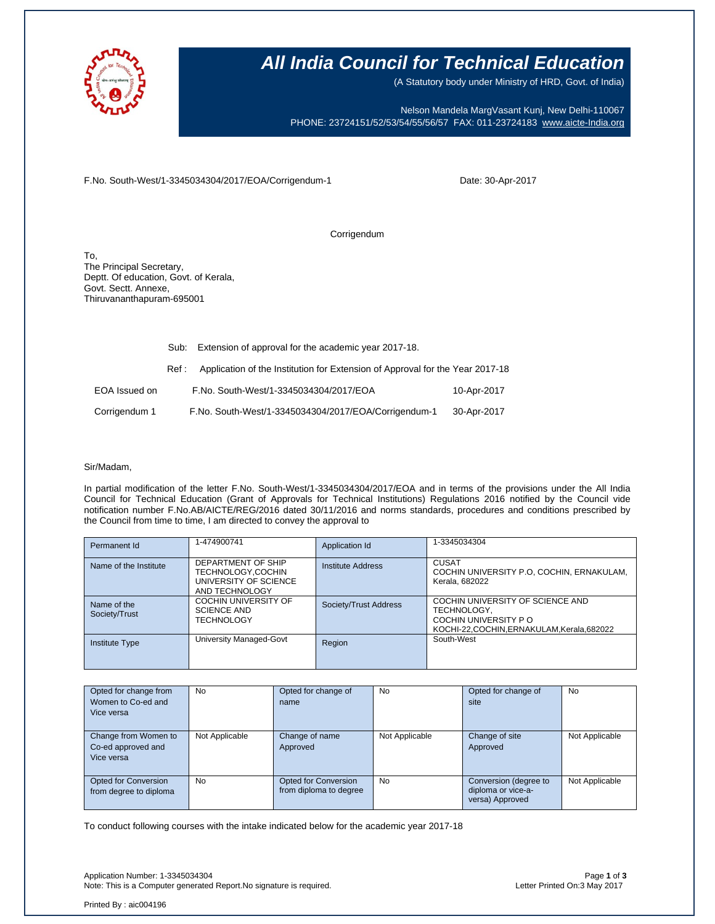

### **All India Council for Technical Education**

(A Statutory body under Ministry of HRD, Govt. of India)

Nelson Mandela MargVasant Kunj, New Delhi-110067 PHONE: 23724151/52/53/54/55/56/57 FAX: 011-23724183 [www.aicte-India.org](http://www.aicte-india.org/)

F.No. South-West/1-3345034304/2017/EOA/Corrigendum-1

Date: 30-Apr-2017

Corrigendum

To, The Principal Secretary, Deptt. Of education, Govt. of Kerala, Govt. Sectt. Annexe, Thiruvananthapuram-695001

|               | Sub:  | Extension of approval for the academic year 2017-18.                          |             |  |  |
|---------------|-------|-------------------------------------------------------------------------------|-------------|--|--|
|               | Ref : | Application of the Institution for Extension of Approval for the Year 2017-18 |             |  |  |
| EOA Issued on |       | F.No. South-West/1-3345034304/2017/EOA                                        | 10-Apr-2017 |  |  |
| Corrigendum 1 |       | F.No. South-West/1-3345034304/2017/EOA/Corrigendum-1                          | 30-Apr-2017 |  |  |

#### Sir/Madam,

In partial modification of the letter F.No. South-West/1-3345034304/2017/EOA and in terms of the provisions under the All India Council for Technical Education (Grant of Approvals for Technical Institutions) Regulations 2016 notified by the Council vide notification number F.No.AB/AICTE/REG/2016 dated 30/11/2016 and norms standards, procedures and conditions prescribed by the Council from time to time, I am directed to convey the approval to

| Permanent Id                 | 1-474900741                                                                        | Application Id        | 1-3345034304                                                                                                       |
|------------------------------|------------------------------------------------------------------------------------|-----------------------|--------------------------------------------------------------------------------------------------------------------|
| Name of the Institute        | DEPARTMENT OF SHIP<br>TECHNOLOGY,COCHIN<br>UNIVERSITY OF SCIENCE<br>AND TECHNOLOGY | Institute Address     | <b>CUSAT</b><br>COCHIN UNIVERSITY P.O, COCHIN, ERNAKULAM,<br>Kerala, 682022                                        |
| Name of the<br>Society/Trust | <b>COCHIN UNIVERSITY OF</b><br><b>SCIENCE AND</b><br><b>TECHNOLOGY</b>             | Society/Trust Address | COCHIN UNIVERSITY OF SCIENCE AND<br>TECHNOLOGY,<br>COCHIN UNIVERSITY PO<br>KOCHI-22.COCHIN.ERNAKULAM.Kerala.682022 |
| <b>Institute Type</b>        | University Managed-Govt                                                            | Region                | South-West                                                                                                         |

| Opted for change from       | <b>No</b>      | Opted for change of    | <b>No</b>      | Opted for change of   | No             |
|-----------------------------|----------------|------------------------|----------------|-----------------------|----------------|
| Women to Co-ed and          |                | name                   |                | site                  |                |
| Vice versa                  |                |                        |                |                       |                |
|                             |                |                        |                |                       |                |
| Change from Women to        | Not Applicable | Change of name         | Not Applicable | Change of site        | Not Applicable |
| Co-ed approved and          |                | Approved               |                | Approved              |                |
| Vice versa                  |                |                        |                |                       |                |
|                             |                |                        |                |                       |                |
| <b>Opted for Conversion</b> | <b>No</b>      | Opted for Conversion   | <b>No</b>      | Conversion (degree to | Not Applicable |
| from degree to diploma      |                | from diploma to degree |                | diploma or vice-a-    |                |
|                             |                |                        |                | versa) Approved       |                |

To conduct following courses with the intake indicated below for the academic year 2017-18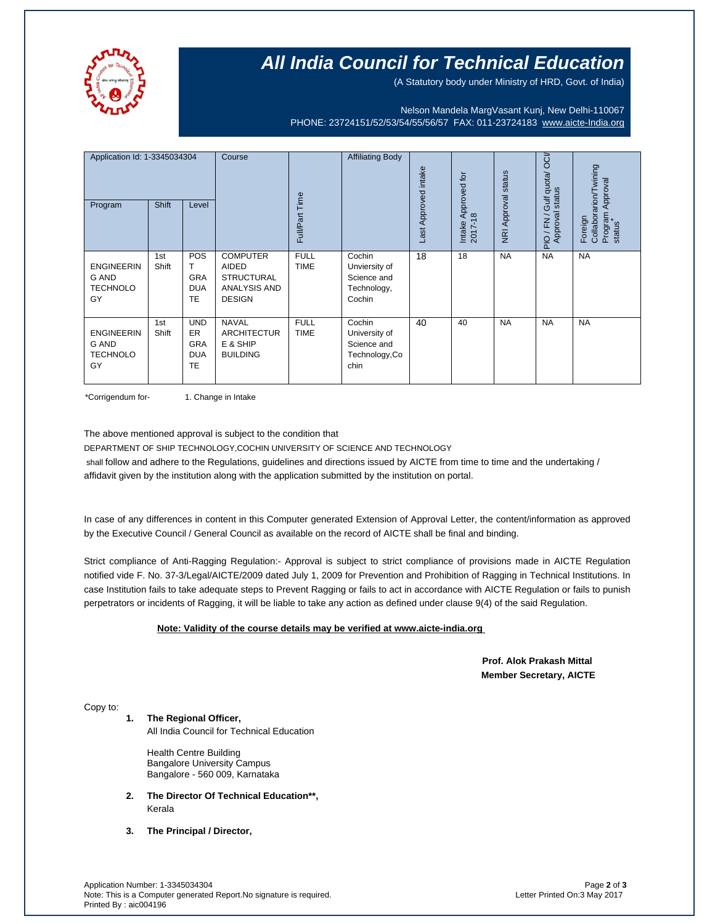

## **All India Council for Technical Education**

(A Statutory body under Ministry of HRD, Govt. of India)

Nelson Mandela MargVasant Kunj, New Delhi-110067 PHONE: 23724151/52/53/54/55/56/57 FAX: 011-23724183 [www.aicte-India.org](http://www.aicte-india.org/)

| Application Id: 1-3345034304<br>Program                    | <b>Shift</b> | Level                                                            | Course                                                                                | Full/Part Time             | <b>Affiliating Body</b>                                          | Last Approved intake | Approved for<br>2017-18<br>Intake | <b>NRI Approval status</b> | OCI/<br>Gulf quota/<br>status<br>Approval<br>/FN<br>$\frac{1}{2}$ | Collaborarion/Twining<br>Approval<br>Program<br>status<br>Foreign |
|------------------------------------------------------------|--------------|------------------------------------------------------------------|---------------------------------------------------------------------------------------|----------------------------|------------------------------------------------------------------|----------------------|-----------------------------------|----------------------------|-------------------------------------------------------------------|-------------------------------------------------------------------|
| <b>ENGINEERIN</b><br><b>G AND</b><br><b>TECHNOLO</b><br>GY | 1st<br>Shift | POS<br>т<br><b>GRA</b><br><b>DUA</b><br>TE                       | <b>COMPUTER</b><br><b>AIDED</b><br><b>STRUCTURAL</b><br>ANALYSIS AND<br><b>DESIGN</b> | <b>FULL</b><br><b>TIME</b> | Cochin<br>Unviersity of<br>Science and<br>Technology,<br>Cochin  | 18                   | 18                                | <b>NA</b>                  | <b>NA</b>                                                         | <b>NA</b>                                                         |
| <b>ENGINEERIN</b><br><b>G AND</b><br><b>TECHNOLO</b><br>GY | 1st<br>Shift | <b>UND</b><br><b>ER</b><br><b>GRA</b><br><b>DUA</b><br><b>TE</b> | <b>NAVAL</b><br><b>ARCHITECTUR</b><br>E & SHIP<br><b>BUILDING</b>                     | <b>FULL</b><br><b>TIME</b> | Cochin<br>University of<br>Science and<br>Technology, Co<br>chin | 40                   | 40                                | <b>NA</b>                  | <b>NA</b>                                                         | <b>NA</b>                                                         |

\*Corrigendum for- 1. Change in Intake

The above mentioned approval is subject to the condition that

DEPARTMENT OF SHIP TECHNOLOGY,COCHIN UNIVERSITY OF SCIENCE AND TECHNOLOGY shall follow and adhere to the Regulations, guidelines and directions issued by AICTE from time to time and the undertaking / affidavit given by the institution along with the application submitted by the institution on portal.

In case of any differences in content in this Computer generated Extension of Approval Letter, the content/information as approved by the Executive Council / General Council as available on the record of AICTE shall be final and binding.

Strict compliance of Anti-Ragging Regulation:- Approval is subject to strict compliance of provisions made in AICTE Regulation notified vide F. No. 37-3/Legal/AICTE/2009 dated July 1, 2009 for Prevention and Prohibition of Ragging in Technical Institutions. In case Institution fails to take adequate steps to Prevent Ragging or fails to act in accordance with AICTE Regulation or fails to punish perpetrators or incidents of Ragging, it will be liable to take any action as defined under clause 9(4) of the said Regulation.

### **Note: Validity of the course details may be verified at www.aicte-india.org**

 **Prof. Alok Prakash Mittal Member Secretary, AICTE**

Copy to:

**1. The Regional Officer,**

All India Council for Technical Education

Health Centre Building Bangalore University Campus Bangalore - 560 009, Karnataka

- **2. The Director Of Technical Education\*\*,**  Kerala
- **3. The Principal / Director,**